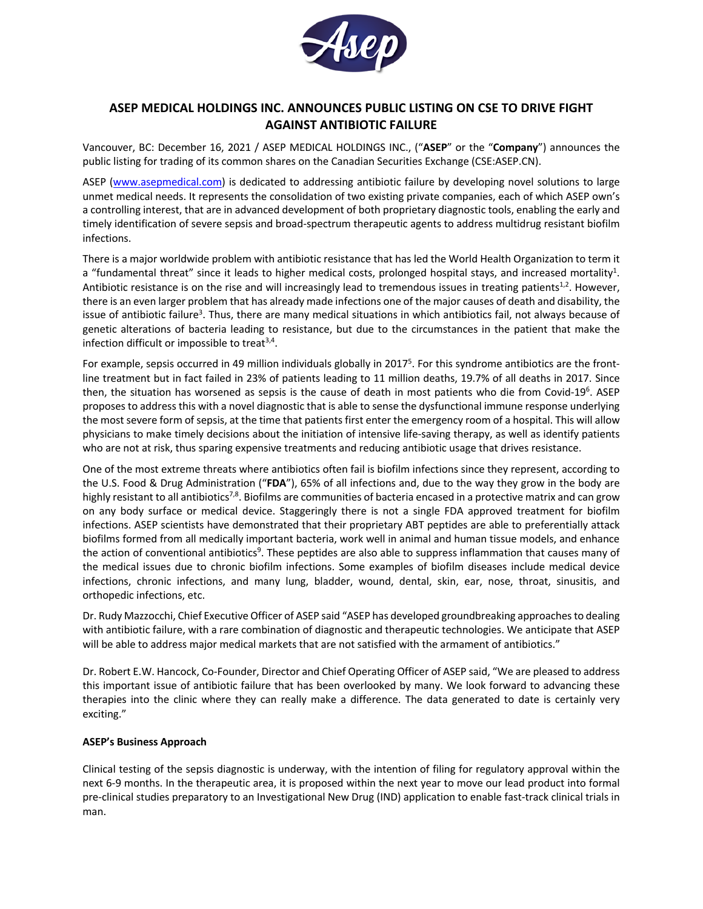

# **ASEP MEDICAL HOLDINGS INC. ANNOUNCES PUBLIC LISTING ON CSE TO DRIVE FIGHT AGAINST ANTIBIOTIC FAILURE**

Vancouver, BC: December 16, 2021 / ASEP MEDICAL HOLDINGS INC., ("**ASEP**" or the "**Company**") announces the public listing for trading of its common shares on the Canadian Securities Exchange (CSE:ASEP.CN).

ASEP (www.asepmedical.com) is dedicated to addressing antibiotic failure by developing novel solutions to large unmet medical needs. It represents the consolidation of two existing private companies, each of which ASEP own's a controlling interest, that are in advanced development of both proprietary diagnostic tools, enabling the early and timely identification of severe sepsis and broad-spectrum therapeutic agents to address multidrug resistant biofilm infections.

There is a major worldwide problem with antibiotic resistance that has led the World Health Organization to term it a "fundamental threat" since it leads to higher medical costs, prolonged hospital stays, and increased mortality<sup>1</sup>. Antibiotic resistance is on the rise and will increasingly lead to tremendous issues in treating patients<sup>1,2</sup>. However, there is an even larger problem that has already made infections one of the major causes of death and disability, the issue of antibiotic failure<sup>3</sup>. Thus, there are many medical situations in which antibiotics fail, not always because of genetic alterations of bacteria leading to resistance, but due to the circumstances in the patient that make the infection difficult or impossible to treat $3,4$ .

For example, sepsis occurred in 49 million individuals globally in 2017<sup>5</sup>. For this syndrome antibiotics are the frontline treatment but in fact failed in 23% of patients leading to 11 million deaths, 19.7% of all deaths in 2017. Since then, the situation has worsened as sepsis is the cause of death in most patients who die from Covid-19<sup>6</sup>. ASEP proposes to address this with a novel diagnostic that is able to sense the dysfunctional immune response underlying the most severe form of sepsis, at the time that patients first enter the emergency room of a hospital. This will allow physicians to make timely decisions about the initiation of intensive life-saving therapy, as well as identify patients who are not at risk, thus sparing expensive treatments and reducing antibiotic usage that drives resistance.

One of the most extreme threats where antibiotics often fail is biofilm infections since they represent, according to the U.S. Food & Drug Administration ("**FDA**"), 65% of all infections and, due to the way they grow in the body are highly resistant to all antibiotics<sup>7,8</sup>. Biofilms are communities of bacteria encased in a protective matrix and can grow on any body surface or medical device. Staggeringly there is not a single FDA approved treatment for biofilm infections. ASEP scientists have demonstrated that their proprietary ABT peptides are able to preferentially attack biofilms formed from all medically important bacteria, work well in animal and human tissue models, and enhance the action of conventional antibiotics<sup>9</sup>. These peptides are also able to suppress inflammation that causes many of the medical issues due to chronic biofilm infections. Some examples of biofilm diseases include medical device infections, chronic infections, and many lung, bladder, wound, dental, skin, ear, nose, throat, sinusitis, and orthopedic infections, etc.

Dr. Rudy Mazzocchi, Chief Executive Officer of ASEP said "ASEP has developed groundbreaking approaches to dealing with antibiotic failure, with a rare combination of diagnostic and therapeutic technologies. We anticipate that ASEP will be able to address major medical markets that are not satisfied with the armament of antibiotics."

Dr. Robert E.W. Hancock, Co-Founder, Director and Chief Operating Officer of ASEP said, "We are pleased to address this important issue of antibiotic failure that has been overlooked by many. We look forward to advancing these therapies into the clinic where they can really make a difference. The data generated to date is certainly very exciting."

# **ASEP's Business Approach**

Clinical testing of the sepsis diagnostic is underway, with the intention of filing for regulatory approval within the next 6-9 months. In the therapeutic area, it is proposed within the next year to move our lead product into formal pre-clinical studies preparatory to an Investigational New Drug (IND) application to enable fast-track clinical trials in man.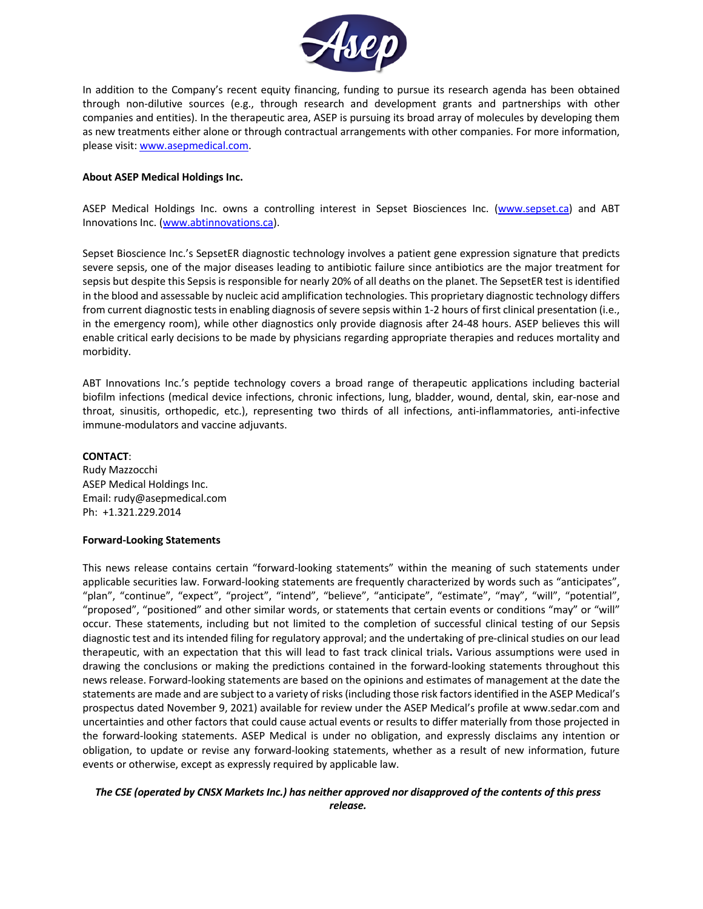

In addition to the Company's recent equity financing, funding to pursue its research agenda has been obtained through non-dilutive sources (e.g., through research and development grants and partnerships with other companies and entities). In the therapeutic area, ASEP is pursuing its broad array of molecules by developing them as new treatments either alone or through contractual arrangements with other companies. For more information, please visit: www.asepmedical.com.

# **About ASEP Medical Holdings Inc.**

ASEP Medical Holdings Inc. owns a controlling interest in Sepset Biosciences Inc. (www.sepset.ca) and ABT Innovations Inc. (www.abtinnovations.ca).

Sepset Bioscience Inc.'s SepsetER diagnostic technology involves a patient gene expression signature that predicts severe sepsis, one of the major diseases leading to antibiotic failure since antibiotics are the major treatment for sepsis but despite this Sepsis is responsible for nearly 20% of all deaths on the planet. The SepsetER test is identified in the blood and assessable by nucleic acid amplification technologies. This proprietary diagnostic technology differs from current diagnostic tests in enabling diagnosis of severe sepsis within 1-2 hours of first clinical presentation (i.e., in the emergency room), while other diagnostics only provide diagnosis after 24-48 hours. ASEP believes this will enable critical early decisions to be made by physicians regarding appropriate therapies and reduces mortality and morbidity.

ABT Innovations Inc.'s peptide technology covers a broad range of therapeutic applications including bacterial biofilm infections (medical device infections, chronic infections, lung, bladder, wound, dental, skin, ear-nose and throat, sinusitis, orthopedic, etc.), representing two thirds of all infections, anti-inflammatories, anti-infective immune-modulators and vaccine adjuvants.

## **CONTACT**:

Rudy Mazzocchi ASEP Medical Holdings Inc. Email: rudy@asepmedical.com Ph: +1.321.229.2014

### **Forward-Looking Statements**

This news release contains certain "forward-looking statements" within the meaning of such statements under applicable securities law. Forward-looking statements are frequently characterized by words such as "anticipates", "plan", "continue", "expect", "project", "intend", "believe", "anticipate", "estimate", "may", "will", "potential", "proposed", "positioned" and other similar words, or statements that certain events or conditions "may" or "will" occur. These statements, including but not limited to the completion of successful clinical testing of our Sepsis diagnostic test and its intended filing for regulatory approval; and the undertaking of pre-clinical studies on our lead therapeutic, with an expectation that this will lead to fast track clinical trials**.** Various assumptions were used in drawing the conclusions or making the predictions contained in the forward-looking statements throughout this news release. Forward-looking statements are based on the opinions and estimates of management at the date the statements are made and are subject to a variety of risks (including those risk factors identified in the ASEP Medical's prospectus dated November 9, 2021) available for review under the ASEP Medical's profile at www.sedar.com and uncertainties and other factors that could cause actual events or results to differ materially from those projected in the forward-looking statements. ASEP Medical is under no obligation, and expressly disclaims any intention or obligation, to update or revise any forward-looking statements, whether as a result of new information, future events or otherwise, except as expressly required by applicable law.

*The CSE (operated by CNSX Markets Inc.) has neither approved nor disapproved of the contents of this press release.*